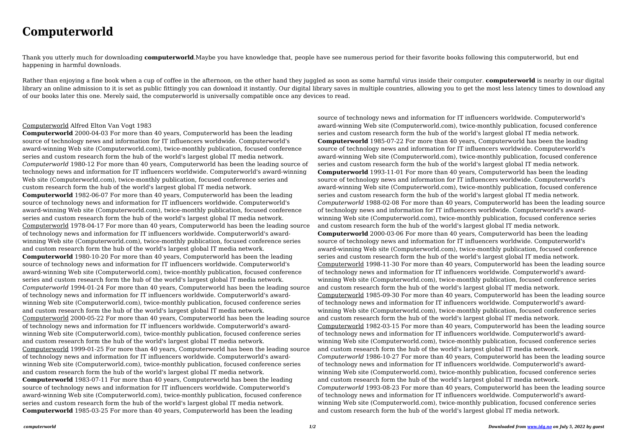## **Computerworld**

Thank you utterly much for downloading **computerworld**.Maybe you have knowledge that, people have see numerous period for their favorite books following this computerworld, but end happening in harmful downloads.

Rather than enjoying a fine book when a cup of coffee in the afternoon, on the other hand they juggled as soon as some harmful virus inside their computer. **computerworld** is nearby in our digital library an online admission to it is set as public fittingly you can download it instantly. Our digital library saves in multiple countries, allowing you to get the most less latency times to download any of our books later this one. Merely said, the computerworld is universally compatible once any devices to read.

## Computerworld Alfred Elton Van Vogt 1983

**Computerworld** 2000-04-03 For more than 40 years, Computerworld has been the leading source of technology news and information for IT influencers worldwide. Computerworld's award-winning Web site (Computerworld.com), twice-monthly publication, focused conference series and custom research form the hub of the world's largest global IT media network. *Computerworld* 1980-12 For more than 40 years, Computerworld has been the leading source of technology news and information for IT influencers worldwide. Computerworld's award-winning Web site (Computerworld.com), twice-monthly publication, focused conference series and custom research form the hub of the world's largest global IT media network. **Computerworld** 1982-06-07 For more than 40 years, Computerworld has been the leading source of technology news and information for IT influencers worldwide. Computerworld's award-winning Web site (Computerworld.com), twice-monthly publication, focused conference series and custom research form the hub of the world's largest global IT media network. Computerworld 1978-04-17 For more than 40 years, Computerworld has been the leading source of technology news and information for IT influencers worldwide. Computerworld's awardwinning Web site (Computerworld.com), twice-monthly publication, focused conference series and custom research form the hub of the world's largest global IT media network. **Computerworld** 1980-10-20 For more than 40 years, Computerworld has been the leading source of technology news and information for IT influencers worldwide. Computerworld's award-winning Web site (Computerworld.com), twice-monthly publication, focused conference series and custom research form the hub of the world's largest global IT media network. *Computerworld* 1994-01-24 For more than 40 years, Computerworld has been the leading source of technology news and information for IT influencers worldwide. Computerworld's awardwinning Web site (Computerworld.com), twice-monthly publication, focused conference series and custom research form the hub of the world's largest global IT media network. Computerworld 2000-05-22 For more than 40 years, Computerworld has been the leading source of technology news and information for IT influencers worldwide. Computerworld's awardwinning Web site (Computerworld.com), twice-monthly publication, focused conference series and custom research form the hub of the world's largest global IT media network. Computerworld 1999-01-25 For more than 40 years, Computerworld has been the leading source of technology news and information for IT influencers worldwide. Computerworld's awardwinning Web site (Computerworld.com), twice-monthly publication, focused conference series and custom research form the hub of the world's largest global IT media network. **Computerworld** 1983-07-11 For more than 40 years, Computerworld has been the leading source of technology news and information for IT influencers worldwide. Computerworld's award-winning Web site (Computerworld.com), twice-monthly publication, focused conference series and custom research form the hub of the world's largest global IT media network. **Computerworld** 1985-03-25 For more than 40 years, Computerworld has been the leading

source of technology news and information for IT influencers worldwide. Computerworld's award-winning Web site (Computerworld.com), twice-monthly publication, focused conference series and custom research form the hub of the world's largest global IT media network. **Computerworld** 1985-07-22 For more than 40 years, Computerworld has been the leading source of technology news and information for IT influencers worldwide. Computerworld's award-winning Web site (Computerworld.com), twice-monthly publication, focused conference series and custom research form the hub of the world's largest global IT media network. **Computerworld** 1993-11-01 For more than 40 years, Computerworld has been the leading source of technology news and information for IT influencers worldwide. Computerworld's award-winning Web site (Computerworld.com), twice-monthly publication, focused conference series and custom research form the hub of the world's largest global IT media network. *Computerworld* 1988-02-08 For more than 40 years, Computerworld has been the leading source of technology news and information for IT influencers worldwide. Computerworld's awardwinning Web site (Computerworld.com), twice-monthly publication, focused conference series and custom research form the hub of the world's largest global IT media network. **Computerworld** 2000-03-06 For more than 40 years, Computerworld has been the leading source of technology news and information for IT influencers worldwide. Computerworld's award-winning Web site (Computerworld.com), twice-monthly publication, focused conference series and custom research form the hub of the world's largest global IT media network. Computerworld 1998-11-30 For more than 40 years, Computerworld has been the leading source of technology news and information for IT influencers worldwide. Computerworld's awardwinning Web site (Computerworld.com), twice-monthly publication, focused conference series and custom research form the hub of the world's largest global IT media network. Computerworld 1985-09-30 For more than 40 years, Computerworld has been the leading source of technology news and information for IT influencers worldwide. Computerworld's awardwinning Web site (Computerworld.com), twice-monthly publication, focused conference series and custom research form the hub of the world's largest global IT media network. Computerworld 1982-03-15 For more than 40 years, Computerworld has been the leading source of technology news and information for IT influencers worldwide. Computerworld's awardwinning Web site (Computerworld.com), twice-monthly publication, focused conference series and custom research form the hub of the world's largest global IT media network. *Computerworld* 1986-10-27 For more than 40 years, Computerworld has been the leading source of technology news and information for IT influencers worldwide. Computerworld's awardwinning Web site (Computerworld.com), twice-monthly publication, focused conference series and custom research form the hub of the world's largest global IT media network. *Computerworld* 1993-08-23 For more than 40 years, Computerworld has been the leading source of technology news and information for IT influencers worldwide. Computerworld's awardwinning Web site (Computerworld.com), twice-monthly publication, focused conference series and custom research form the hub of the world's largest global IT media network.